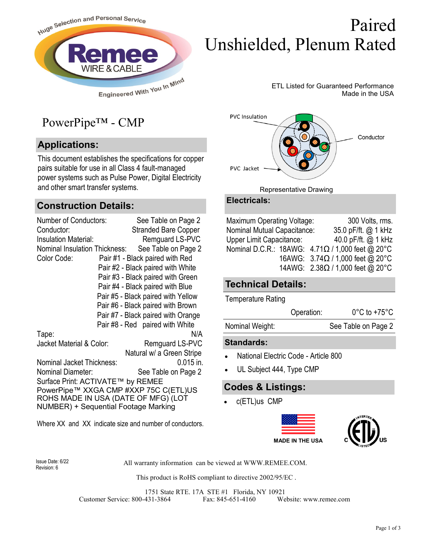

# Paired Unshielded, Plenum Rated

ETL Listed for Guaranteed Performance Made in the USA

# PowerPipe™ - CMP

## **Applications:**

This document establishes the specifications for copper pairs suitable for use in all Class 4 fault-managed power systems such as Pulse Power, Digital Electricity and other smart transfer systems.

### **Construction Details:**

| <b>Number of Conductors:</b>                   | See Table on Page 2                |  |  |  |  |  |
|------------------------------------------------|------------------------------------|--|--|--|--|--|
| Conductor:                                     | <b>Stranded Bare Copper</b>        |  |  |  |  |  |
| <b>Insulation Material:</b>                    | Remguard LS-PVC                    |  |  |  |  |  |
| Nominal Insulation Thickness:                  | See Table on Page 2                |  |  |  |  |  |
| Pair #1 - Black paired with Red<br>Color Code: |                                    |  |  |  |  |  |
|                                                | Pair #2 - Black paired with White  |  |  |  |  |  |
|                                                | Pair #3 - Black paired with Green  |  |  |  |  |  |
|                                                | Pair #4 - Black paired with Blue   |  |  |  |  |  |
|                                                | Pair #5 - Black paired with Yellow |  |  |  |  |  |
|                                                | Pair #6 - Black paired with Brown  |  |  |  |  |  |
|                                                | Pair #7 - Black paired with Orange |  |  |  |  |  |
|                                                | Pair #8 - Red paired with White    |  |  |  |  |  |
| Tape:                                          | N/A                                |  |  |  |  |  |
| Jacket Material & Color:                       | Remguard LS-PVC                    |  |  |  |  |  |
|                                                | Natural w/ a Green Stripe          |  |  |  |  |  |
| Nominal Jacket Thickness:                      | $0.015$ in.                        |  |  |  |  |  |
| Nominal Diameter:                              | See Table on Page 2                |  |  |  |  |  |
| Surface Print: ACTIVATE™ by REMEE              |                                    |  |  |  |  |  |
| PowerPipe™ XXGA CMP #XXP 75C C(ETL)US          |                                    |  |  |  |  |  |
| ROHS MADE IN USA (DATE OF MFG) (LOT            |                                    |  |  |  |  |  |
| <b>NUMBER) + Sequential Footage Marking</b>    |                                    |  |  |  |  |  |

Where XX and XX indicate size and number of conductors.



#### Representative Drawing

#### **Electricals:**

| <b>Maximum Operating Voltage:</b> |  | 300 Volts, rms.                                      |
|-----------------------------------|--|------------------------------------------------------|
| Nominal Mutual Capacitance:       |  | 35.0 pF/ft. @ 1 kHz                                  |
| <b>Upper Limit Capacitance:</b>   |  | 40.0 pF/ft. @ 1 kHz                                  |
|                                   |  | Nominal D.C.R.: 18AWG: $4.71\Omega/1000$ feet @ 20°C |
|                                   |  | 16AWG: $3.74\Omega / 1,000$ feet @ 20°C              |
|                                   |  | 14AWG: $2.38\Omega/1,000$ feet @ 20°C                |

### **Technical Details:**

Temperature Rating

|                 | Operation: | $0^{\circ}$ C to +75 $^{\circ}$ C |
|-----------------|------------|-----------------------------------|
| Nominal Weight: |            | See Table on Page 2               |

#### **Standards:**

- National Electric Code Article 800
- UL Subject 444, Type CMP

### **Codes & Listings:**

• c(ETL)us CMP



Revision: 6

All warranty information can be viewed at WWW.REMEE.COM. Issue Date: 6/22

This product is RoHS compliant to directive 2002/95/EC .

1751 State RTE. 17A STE #1 Florida, NY 10921 Customer Service: 800-431-3864 Fax: 845-651-4160 Website: www.remee.com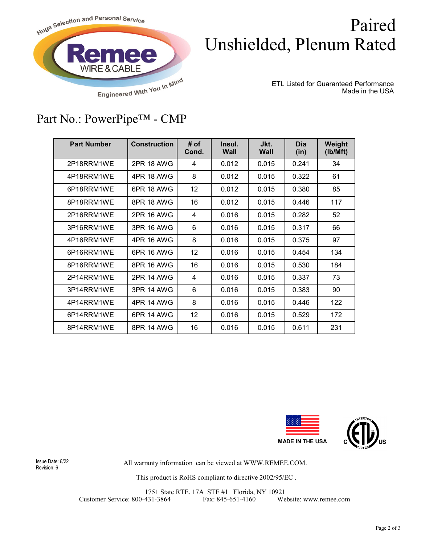

# Paired Unshielded, Plenum Rated

ETL Listed for Guaranteed Performance Made in the USA

# Part No.: PowerPipe™ - CMP

| <b>Part Number</b> | <b>Construction</b> | # of<br>Cond. | Insul.<br>Wall | Jkt.<br>Wall | <b>Dia</b><br>(in) | Weight<br>(lb/Mft) |
|--------------------|---------------------|---------------|----------------|--------------|--------------------|--------------------|
| 2P18RRM1WE         | 2PR 18 AWG          | 4             | 0.012          | 0.015        | 0.241              | 34                 |
| 4P18RRM1WE         | 4PR 18 AWG          | 8             | 0.012          | 0.015        | 0.322              | 61                 |
| 6P18RRM1WE         | 6PR 18 AWG          | 12            | 0.012          | 0.015        | 0.380              | 85                 |
| 8P18RRM1WE         | 8PR 18 AWG          | 16            | 0.012          | 0.015        | 0.446              | 117                |
| 2P16RRM1WF         | <b>2PR 16 AWG</b>   | 4             | 0.016          | 0.015        | 0.282              | 52                 |
| 3P16RRM1WE         | 3PR 16 AWG          | 6             | 0.016          | 0.015        | 0.317              | 66                 |
| 4P16RRM1WE         | 4PR 16 AWG          | 8             | 0.016          | 0.015        | 0.375              | 97                 |
| 6P16RRM1WE         | 6PR 16 AWG          | 12            | 0.016          | 0.015        | 0.454              | 134                |
| 8P16RRM1WE         | 8PR 16 AWG          | 16            | 0.016          | 0.015        | 0.530              | 184                |
| 2P14RRM1WE         | <b>2PR 14 AWG</b>   | 4             | 0.016          | 0.015        | 0.337              | 73                 |
| 3P14RRM1WE         | <b>3PR 14 AWG</b>   | 6             | 0.016          | 0.015        | 0.383              | 90                 |
| 4P14RRM1WE         | 4PR 14 AWG          | 8             | 0.016          | 0.015        | 0.446              | 122                |
| 6P14RRM1WE         | 6PR 14 AWG          | 12            | 0.016          | 0.015        | 0.529              | 172                |
| 8P14RRM1WE         | <b>8PR 14 AWG</b>   | 16            | 0.016          | 0.015        | 0.611              | 231                |



Revision: 6

All warranty information can be viewed at WWW.REMEE.COM. Issue Date: 6/22

This product is RoHS compliant to directive 2002/95/EC .

1751 State RTE. 17A STE #1 Florida, NY 10921 Customer Service: 800-431-3864 Fax: 845-651-4160 Website: www.remee.com